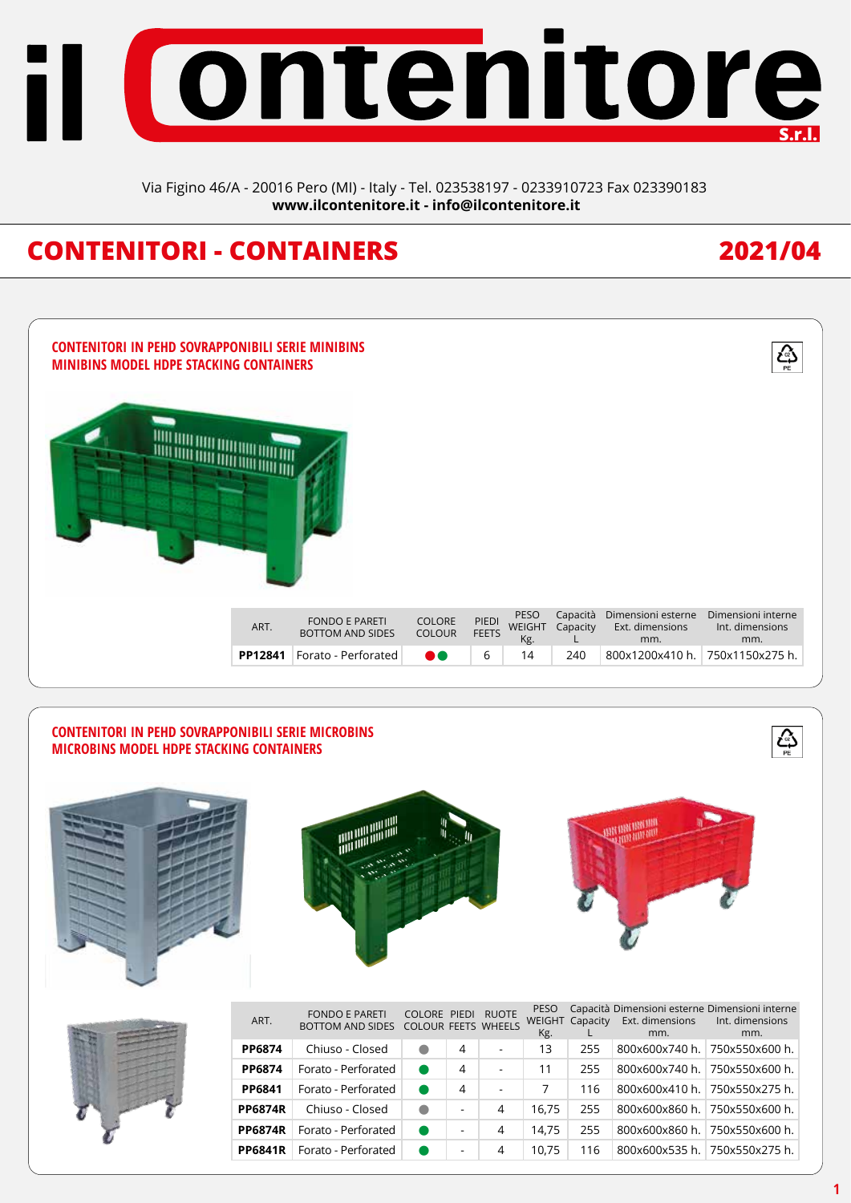

Via Figino 46/A - 20016 Pero (MI) - Italy - Tel. 023538197 - 0233910723 Fax 023390183 **www.ilcontenitore.it - info@ilcontenitore.it**

## **CONTENITORI - CONTAINERS 2021/04**

 $\overline{\mathcal{L}^2_{\overline{\mathbb{P}^2}}}$ 



#### **CONTENITORI IN PEHD SOVRAPPONIBILI SERIE MICROBINS MICROBINS MODEL HDPE STACKING CONTAINERS**



|   | ART.           | <b>FONDO E PARETI</b><br>BOTTOM AND SIDES COLOUR FEETS WHEELS | COLORE PIEDI RUOTE |   |                          | <b>PESO</b><br>Kg. |     | WEIGHT Capacity Ext. dimensions<br>mm. | Capacità Dimensioni esterne Dimensioni interne<br>Int. dimensions<br>mm. |
|---|----------------|---------------------------------------------------------------|--------------------|---|--------------------------|--------------------|-----|----------------------------------------|--------------------------------------------------------------------------|
|   | PP6874         | Chiuso - Closed                                               |                    | 4 |                          | 13                 | 255 | 800x600x740 h.                         | 750x550x600 h.                                                           |
|   | <b>PP6874</b>  | Forato - Perforated                                           |                    | 4 | $\overline{\phantom{a}}$ | 11                 | 255 |                                        | 800x600x740 h. 750x550x600 h.                                            |
| Ø | PP6841         | Forato - Perforated                                           |                    | 4 |                          |                    | 116 |                                        | 800x600x410 h. 750x550x275 h.                                            |
|   | <b>PP6874R</b> | Chiuso - Closed                                               | $\bullet$          |   | 4                        | 16.75              | 255 |                                        | 800x600x860 h. 750x550x600 h.                                            |
|   | <b>PP6874R</b> | Forato - Perforated                                           |                    |   | 4                        | 14.75              | 255 |                                        | 800x600x860 h.   750x550x600 h.                                          |
|   | <b>PP6841R</b> | Forato - Perforated                                           |                    |   | 4                        | 10.75              | 16  |                                        | 800x600x535 h. 750x550x275 h.                                            |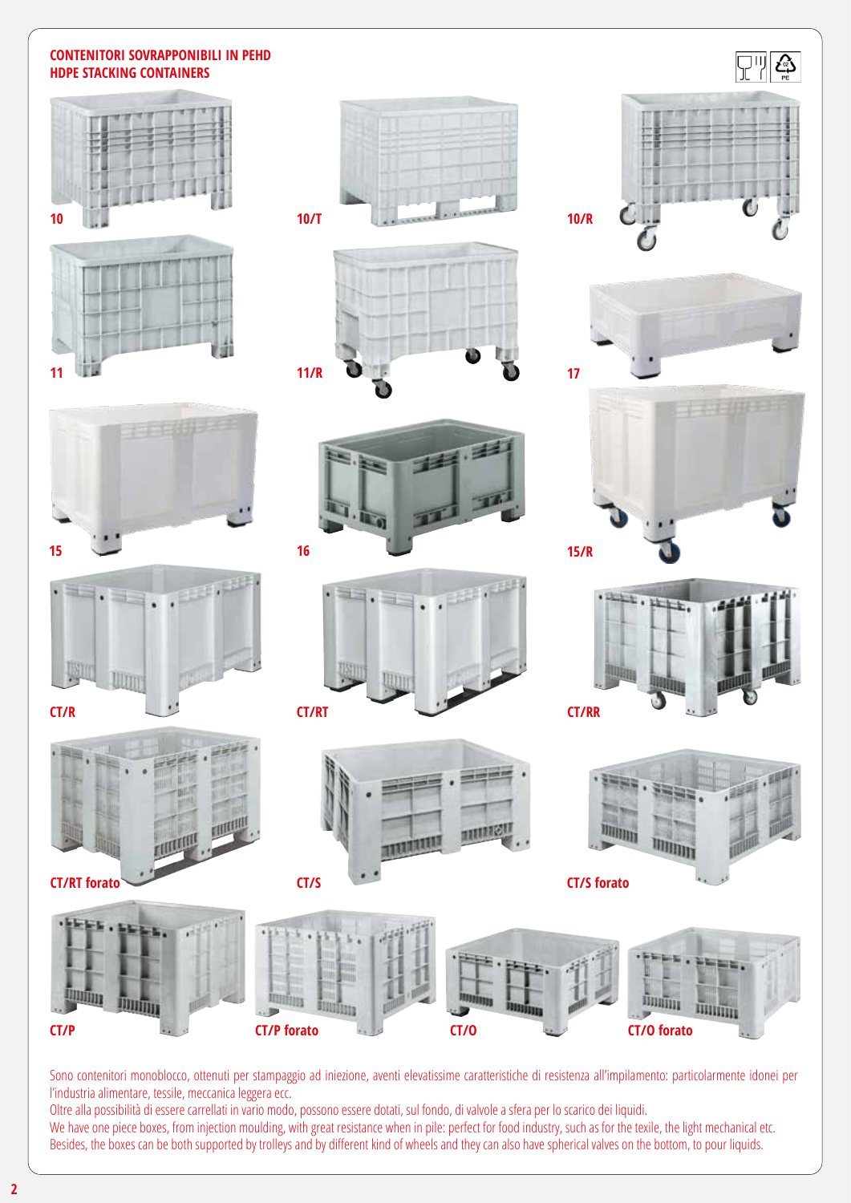#### **CONTENITORI SOVRAPPONIBILI IN PEHD HDPE STACKING CONTAINERS**















**11/R**

**CT/S**



中上

**CT/S forato**

**17**



Sono contenitori monoblocco, ottenuti per stampaggio ad iniezione, aventi elevatissime caratteristiche di resistenza all'impilamento: particolarmente idonei per l'industria alimentare, tessile, meccanica leggera ecc.

Oltre alla possibilità di essere carrellati in vario modo, possono essere dotati, sul fondo, di valvole a sfera per lo scarico dei liquidi. We have one piece boxes, from injection moulding, with great resistance when in pile: perfect for food industry, such as for the texile, the light mechanical etc. Besides, the boxes can be both supported by trolleys and by different kind of wheels and they can also have spherical valves on the bottom, to pour liquids.

**2**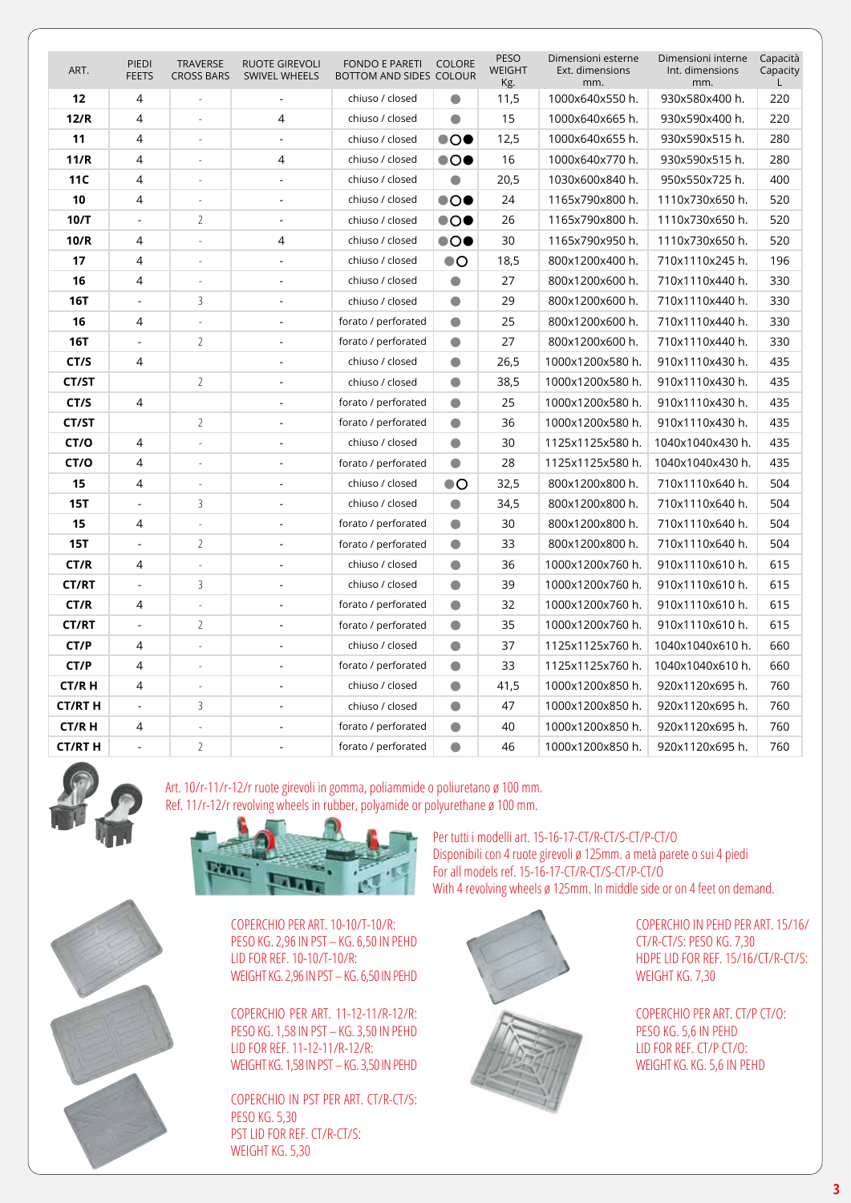| ART.          | PIEDI<br><b>FEETS</b> | <b>TRAVERSE</b><br><b>CROSS BARS</b> | <b>RUOTE GIREVOLI</b><br>SWIVEL WHEELS | <b>FONDO E PARETI</b><br>BOTTOM AND SIDES COLOUR | COLORE                | PESO<br><b>WEIGHT</b><br>Kg. | Dimensioni esterne<br>Ext. dimensions<br>mm. | Dimensioni interne<br>Int. dimensions<br>mm. | Capacità<br>Capacity<br>L. |
|---------------|-----------------------|--------------------------------------|----------------------------------------|--------------------------------------------------|-----------------------|------------------------------|----------------------------------------------|----------------------------------------------|----------------------------|
| 12            | $\overline{4}$        |                                      |                                        | chiuso / closed                                  | $\bullet$             | 11,5                         | 1000x640x550 h.                              | 930x580x400 h.                               | 220                        |
| 12/R          | 4                     | $\overline{a}$                       | $\overline{4}$                         | chiuso / closed                                  | $\bullet$             | 15                           | 1000x640x665 h.                              | 930x590x400 h.                               | 220                        |
| 11            | 4                     | ÷,                                   | $\overline{a}$                         | chiuso / closed                                  | $\bullet$ O $\bullet$ | 12,5                         | 1000x640x655 h.                              | 930x590x515 h.                               | 280                        |
| 11/R          | 4                     | ÷.                                   | 4                                      | chiuso / closed                                  | $\bullet$ o $\bullet$ | 16                           | 1000x640x770 h.                              | 930x590x515 h.                               | 280                        |
| 11C           | 4                     |                                      |                                        | chiuso / closed                                  | $\bullet$             | 20,5                         | 1030x600x840 h.                              | 950x550x725 h.                               | 400                        |
| 10            | 4                     |                                      | ÷,                                     | chiuso / closed                                  | $\bullet$ O $\bullet$ | 24                           | 1165x790x800 h.                              | 1110x730x650 h.                              | 520                        |
| 10/T          | L.                    | $\overline{2}$                       | ÷,                                     | chiuso / closed                                  | $\bullet$ o $\bullet$ | 26                           | 1165x790x800 h.                              | 1110x730x650 h.                              | 520                        |
| 10/R          | 4                     |                                      | 4                                      | chiuso / closed                                  | $\bullet$ o $\bullet$ | 30                           | 1165x790x950 h.                              | 1110x730x650 h.                              | 520                        |
| 17            | 4                     |                                      |                                        | chiuso / closed                                  | $\bullet$ O           | 18,5                         | 800x1200x400 h.                              | 710x1110x245 h.                              | 196                        |
| 16            | 4                     |                                      | ÷,                                     | chiuso / closed                                  | $\bullet$             | 27                           | 800x1200x600 h.                              | 710x1110x440 h.                              | 330                        |
| <b>16T</b>    | $\overline{a}$        | 3                                    | $\blacksquare$                         | chiuso / closed                                  | $\bullet$             | 29                           | 800x1200x600 h.                              | 710x1110x440 h.                              | 330                        |
| 16            | 4                     |                                      | $\blacksquare$                         | forato / perforated                              | $\bullet$             | 25                           | 800x1200x600 h.                              | 710x1110x440 h.                              | 330                        |
| <b>16T</b>    |                       | $\overline{2}$                       |                                        | forato / perforated                              | $\bullet$             | 27                           | 800x1200x600 h.                              | 710x1110x440 h.                              | 330                        |
| CT/S          | 4                     |                                      | $\overline{a}$                         | chiuso / closed                                  | $\bullet$             | 26,5                         | 1000x1200x580 h.                             | 910x1110x430 h.                              | 435                        |
| CT/ST         |                       | $\overline{2}$                       | ÷,                                     | chiuso / closed                                  | $\bullet$             | 38,5                         | 1000x1200x580 h.                             | 910x1110x430 h.                              | 435                        |
| CT/S          | 4                     |                                      | $\overline{a}$                         | forato / perforated                              | $\bullet$             | 25                           | 1000x1200x580 h.                             | 910x1110x430 h.                              | 435                        |
| CT/ST         |                       | $\overline{2}$                       | $\overline{a}$                         | forato / perforated                              | $\bullet$             | 36                           | 1000x1200x580 h.                             | 910x1110x430 h.                              | 435                        |
| CT/O          | $\overline{4}$        |                                      | $\overline{a}$                         | chiuso / closed                                  | $\bullet$             | 30                           | 1125x1125x580 h.                             | 1040x1040x430 h.                             | 435                        |
| CT/O          | 4                     | $\overline{\phantom{a}}$             | $\blacksquare$                         | forato / perforated                              | $\bullet$             | 28                           | 1125x1125x580 h.                             | 1040x1040x430 h.                             | 435                        |
| 15            | 4                     | L,                                   | $\sim$                                 | chiuso / closed                                  | $\bullet$ O           | 32,5                         | 800x1200x800 h.                              | 710x1110x640 h.                              | 504                        |
| <b>15T</b>    | $\overline{a}$        | 3                                    | ÷.                                     | chiuso / closed                                  | $\bullet$             | 34,5                         | 800x1200x800 h.                              | 710x1110x640 h.                              | 504                        |
| 15            | 4                     |                                      |                                        | forato / perforated                              | $\bullet$             | 30                           | 800x1200x800 h.                              | 710x1110x640 h.                              | 504                        |
| <b>15T</b>    | L,                    | $\overline{2}$                       | ÷,                                     | forato / perforated                              | $\bullet$             | 33                           | 800x1200x800 h.                              | 710x1110x640 h.                              | 504                        |
| CT/R          | 4                     |                                      | $\overline{a}$                         | chiuso / closed                                  | $\bullet$             | 36                           | 1000x1200x760 h.                             | 910x1110x610 h.                              | 615                        |
| <b>CT/RT</b>  | $\mathbf{r}$          | 3                                    | $\overline{a}$                         | chiuso / closed                                  | $\bullet$             | 39                           | 1000x1200x760 h.                             | 910x1110x610 h.                              | 615                        |
| CT/R          | 4                     |                                      |                                        | forato / perforated                              | $\bullet$             | 32                           | 1000x1200x760 h.                             | 910x1110x610 h.                              | 615                        |
| <b>CT/RT</b>  |                       | $\overline{2}$                       | $\overline{a}$                         | forato / perforated                              | $\bullet$             | 35                           | 1000x1200x760 h.                             | 910x1110x610 h.                              | 615                        |
| CT/P          | 4                     |                                      | $\blacksquare$                         | chiuso / closed                                  | $\bullet$             | 37                           | 1125x1125x760 h.                             | 1040x1040x610 h.                             | 660                        |
| CT/P          | 4                     | ÷,                                   | $\sim$                                 | forato / perforated                              | $\bullet$             | 33                           | 1125x1125x760 h.                             | 1040x1040x610 h.                             | 660                        |
| <b>CT/RH</b>  | 4                     |                                      |                                        | chiuso / closed                                  | $\bullet$             | 41,5                         | 1000x1200x850 h.                             | 920x1120x695 h.                              | 760                        |
| <b>CT/RTH</b> | $\overline{a}$        | 3                                    | ÷,                                     | chiuso / closed                                  | $\bullet$             | 47                           | 1000x1200x850 h.                             | 920x1120x695 h.                              | 760                        |
| <b>CT/RH</b>  | 4                     |                                      | $\overline{a}$                         | forato / perforated                              | $\bullet$             | 40                           | 1000x1200x850 h.                             | 920x1120x695 h.                              | 760                        |
| <b>CT/RTH</b> | $\mathbf{r}$          | $\overline{2}$                       | ÷.                                     | forato / perforated                              | $\bullet$             | 46                           | 1000x1200x850 h.                             | 920x1120x695 h.                              | 760                        |



Art. 10/r-11/r-12/r ruote girevoli in gomma, poliammide o poliuretano ø 100 mm. Ref. 11/r-12/r revolving wheels in rubber, polyamide or polyurethane ø 100 mm.





COPERCHIO PER ART. 10-10/T-10/R: PESO KG. 2,96 IN PST – KG. 6,50 IN PEHD LID FOR REF. 10-10/T-10/R: WEIGHT KG. 2,96 IN PST – KG. 6,50 IN PEHD

COPERCHIO PER ART. 11-12-11/R-12/R: PESO KG. 1,58 IN PST – KG. 3,50 IN PEHD LID FOR REF. 11-12-11/R-12/R: WEIGHT KG. 1,58 IN PST – KG. 3,50 IN PEHD

COPERCHIO IN PST PER ART. CT/R-CT/S: PESO KG. 5,30 PST LID FOR REF. CT/R-CT/S: WEIGHT KG. 5,30

Per tutti i modelli art. 15-16-17-CT/R-CT/S-CT/P-CT/O Disponibili con 4 ruote girevoli ø 125mm. a metà parete o sui 4 piedi For all models ref. 15-16-17-CT/R-CT/S-CT/P-CT/O With 4 revolving wheels ø 125mm. In middle side or on 4 feet on demand.



COPERCHIO IN PEHD PER ART. 15/16/ CT/R-CT/S: PESO KG. 7,30 HDPE LID FOR REF. 15/16/CT/R-CT/S: WEIGHT KG. 7,30

COPERCHIO PER ART. CT/P CT/O: PESO KG. 5,6 IN PEHD LID FOR REF. CT/P CT/O: WEIGHT KG. KG. 5,6 IN PEHD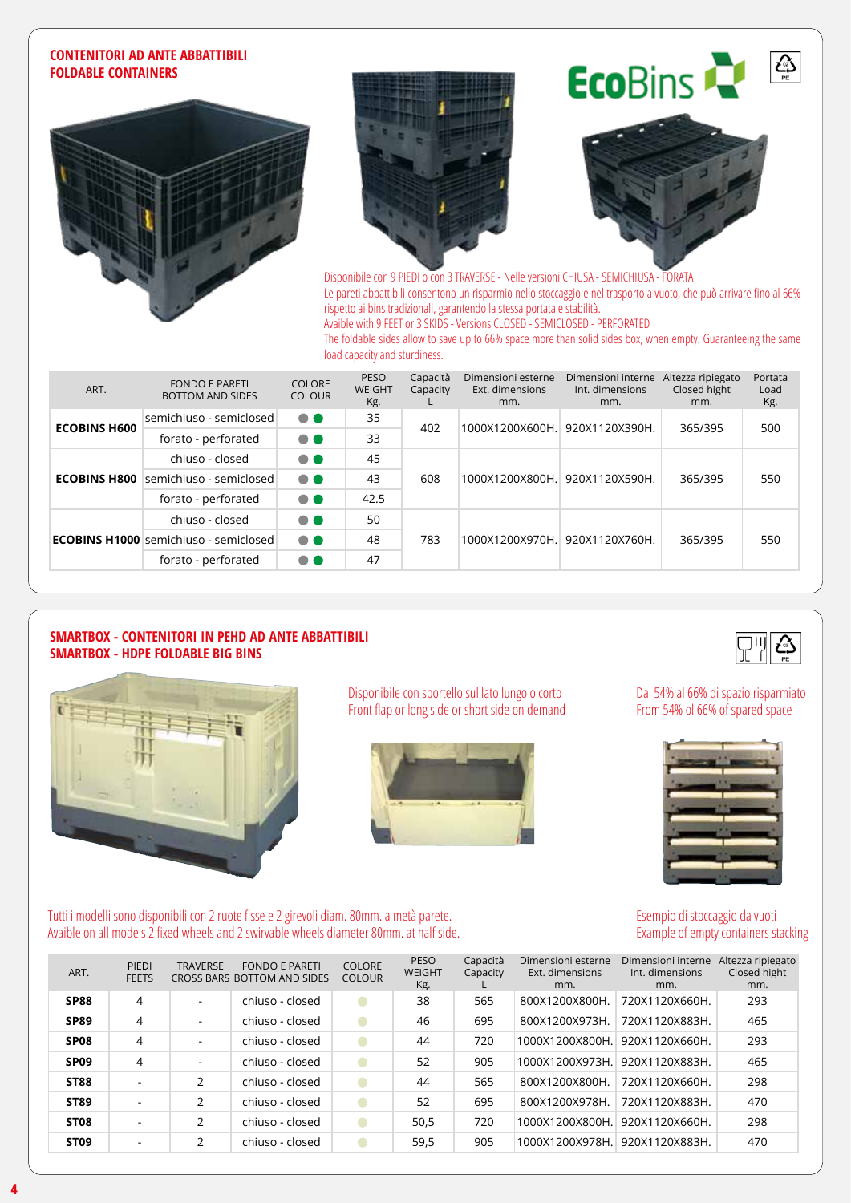#### **CONTENITORI AD ANTE ABBATTIBILI FOLDABLE CONTAINERS**









Disponibile con 9 PIEDI o con 3 TRAVERSE - Nelle versioni CHIUSA - SEMICHIUSA - FORATA Le pareti abbattibili consentono un risparmio nello stoccaggio e nel trasporto a vuoto, che può arrivare fino al 66% rispetto ai bins tradizionali, garantendo la stessa portata e stabilità. Avaible with 9 FEET or 3 SKIDS - Versions CLOSED - SEMICLOSED - PERFORATED

The foldable sides allow to save up to 66% space more than solid sides box, when empty. Guaranteeing the same load capacity and sturdiness.

| ART.                | <b>FONDO E PARETI</b><br><b>BOTTOM AND SIDES</b> | <b>COLORE</b><br><b>COLOUR</b> | <b>PESO</b><br><b>WEIGHT</b><br>Kg. | Capacità<br>Capacity | Dimensioni esterne<br>Ext. dimensions<br>mm. | Dimensioni interne<br>Int. dimensions<br>mm. | Altezza ripiegato<br>Closed hight<br>mm. | Portata<br>Load<br>Kg. |
|---------------------|--------------------------------------------------|--------------------------------|-------------------------------------|----------------------|----------------------------------------------|----------------------------------------------|------------------------------------------|------------------------|
| <b>ECOBINS H600</b> | semichiuso - semiclosed                          | $\bullet\bullet$               | 35                                  | 402                  |                                              | 1000X1200X600H. 920X1120X390H.               | 365/395                                  | 500                    |
|                     | forato - perforated                              | $\bullet$                      | 33                                  |                      |                                              |                                              |                                          |                        |
|                     | chiuso - closed                                  | $\bullet$                      | 45                                  |                      |                                              |                                              |                                          |                        |
| <b>ECOBINS H800</b> | semichiuso - semiclosed                          | $\bullet$                      | 43                                  | 608                  | 1000X1200X800H. 920X1120X590H.               |                                              | 365/395                                  | 550                    |
|                     | forato - perforated                              | $\bullet\bullet$               | 42.5                                |                      |                                              |                                              |                                          |                        |
|                     | chiuso - closed                                  | $\bullet$                      | 50                                  |                      |                                              |                                              |                                          | 550                    |
|                     | <b>ECOBINS H1000</b> semichiuso - semiclosed     | $\bullet\bullet$               | 48                                  | 783                  | 1000X1200X970H. 920X1120X760H.               |                                              | 365/395                                  |                        |
|                     | forato - perforated                              | $\bullet\bullet$               | 47                                  |                      |                                              |                                              |                                          |                        |

#### **SMARTBOX - CONTENITORI IN PEHD AD ANTE ABBATTIBILI SMARTBOX - HDPE FOLDABLE BIG BINS**



Disponibile con sportello sul lato lungo o corto Front flap or long side or short side on demand



Dal 54% al 66% di spazio risparmiato From 54% ol 66% of spared space

دي<br>ه



Esempio di stoccaggio da vuoti Example of empty containers stacking

Tutti i modelli sono disponibili con 2 ruote fisse e 2 girevoli diam. 80mm. a metà parete. Avaible on all models 2 fixed wheels and 2 swirvable wheels diameter 80mm. at half side.

| ART.             | PIEDI<br><b>FEETS</b>    | <b>TRAVERSE</b>          | <b>FONDO E PARETI</b><br>CROSS BARS BOTTOM AND SIDES | <b>COLORE</b><br><b>COLOUR</b> | <b>PESO</b><br><b>WEIGHT</b><br>Kg. | Capacità<br>Capacity | Dimensioni esterne<br>Ext. dimensions<br>mm. | Dimensioni interne<br>Int. dimensions<br>mm. | Altezza ripiegato<br>Closed hight<br>mm. |
|------------------|--------------------------|--------------------------|------------------------------------------------------|--------------------------------|-------------------------------------|----------------------|----------------------------------------------|----------------------------------------------|------------------------------------------|
| <b>SP88</b>      | 4                        | $\overline{\phantom{a}}$ | chiuso - closed                                      |                                | 38                                  | 565                  | 800X1200X800H.                               | 720X1120X660H.                               | 293                                      |
| <b>SP89</b>      | 4                        | $\overline{\phantom{a}}$ | chiuso - closed                                      |                                | 46                                  | 695                  | 800X1200X973H.                               | 720X1120X883H.                               | 465                                      |
| SP <sub>08</sub> | 4                        | ۰.                       | chiuso - closed                                      |                                | 44                                  | 720                  | 1000X1200X800H.                              | 920X1120X660H.                               | 293                                      |
| SP <sub>09</sub> | 4                        | $\overline{\phantom{a}}$ | chiuso - closed                                      |                                | 52                                  | 905                  | 1000X1200X973H.                              | 920X1120X883H.                               | 465                                      |
| <b>ST88</b>      | $\overline{\phantom{0}}$ | $\overline{2}$           | chiuso - closed                                      |                                | 44                                  | 565                  | 800X1200X800H.                               | 720X1120X660H.                               | 298                                      |
| <b>ST89</b>      | $\overline{\phantom{a}}$ | $\mathcal{P}$            | chiuso - closed                                      |                                | 52                                  | 695                  | 800X1200X978H.                               | 720X1120X883H.                               | 470                                      |
| ST <sub>08</sub> | $\overline{\phantom{a}}$ | 2                        | chiuso - closed                                      |                                | 50,5                                | 720                  | 1000X1200X800H.                              | 920X1120X660H.                               | 298                                      |
| ST <sub>09</sub> | $\overline{\phantom{a}}$ | 2                        | chiuso - closed                                      |                                | 59,5                                | 905                  | 1000X1200X978H.                              | 920X1120X883H.                               | 470                                      |



**4**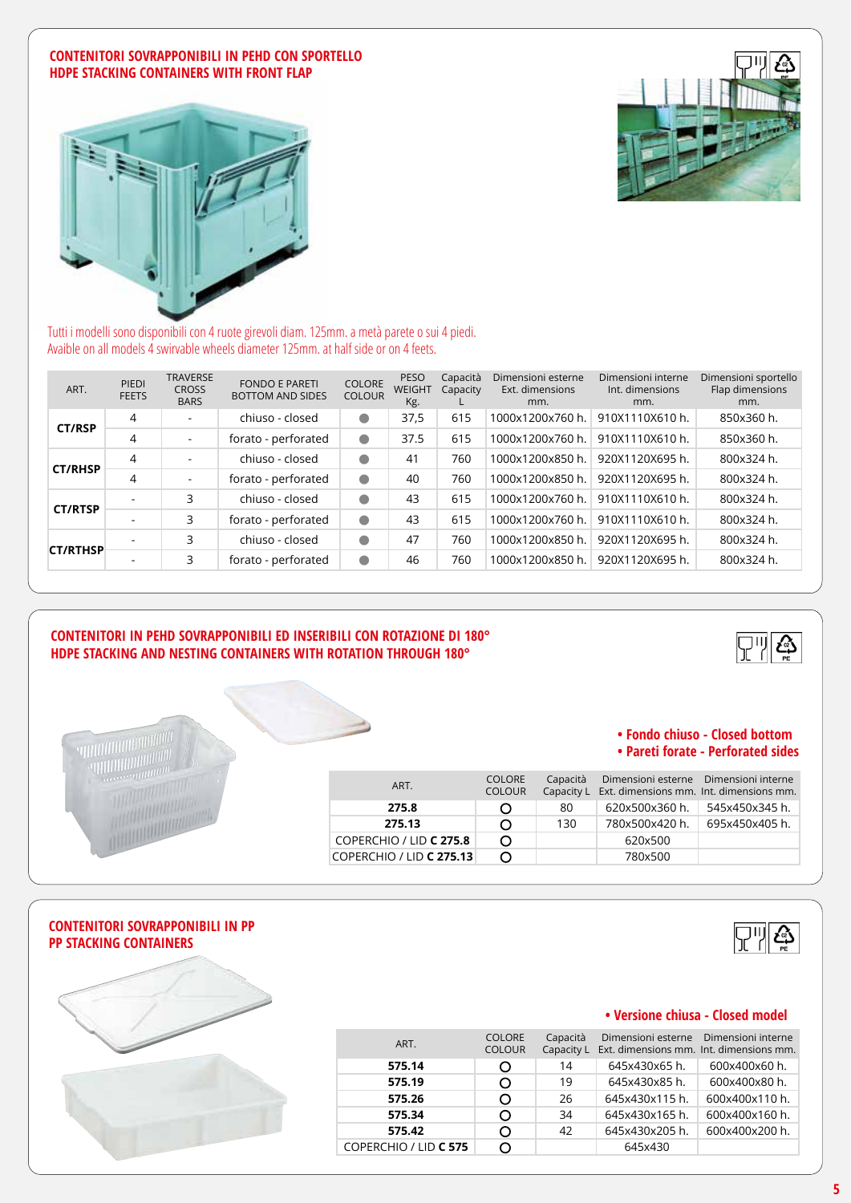#### **CONTENITORI SOVRAPPONIBILI IN PEHD CON SPORTELLO HDPE STACKING CONTAINERS WITH FRONT FLAP**





Tutti i modelli sono disponibili con 4 ruote girevoli diam. 125mm. a metà parete o sui 4 piedi. Avaible on all models 4 swirvable wheels diameter 125mm. at half side or on 4 feets.

| ART.            | PIEDI<br><b>FEETS</b> | <b>TRAVERSE</b><br><b>CROSS</b><br><b>BARS</b> | <b>FONDO E PARETI</b><br><b>BOTTOM AND SIDES</b> | <b>COLORE</b><br><b>COLOUR</b> | <b>PESO</b><br><b>WEIGHT</b><br>Kg. | Capacità<br>Capacity | Dimensioni esterne<br>Ext. dimensions<br>mm. | Dimensioni interne<br>Int. dimensions<br>mm. | Dimensioni sportello<br>Flap dimensions<br>mm. |
|-----------------|-----------------------|------------------------------------------------|--------------------------------------------------|--------------------------------|-------------------------------------|----------------------|----------------------------------------------|----------------------------------------------|------------------------------------------------|
| <b>CT/RSP</b>   | $\overline{4}$        | $\overline{\phantom{0}}$                       | chiuso - closed                                  | $\bullet$                      | 37,5                                | 615                  | 1000x1200x760 h.                             | 910X1110X610 h.                              | 850x360 h.                                     |
|                 | 4                     | $\overline{\phantom{a}}$                       | forato - perforated                              | $\bullet$                      | 37.5                                | 615                  | 1000x1200x760 h.                             | 910X1110X610 h.                              | 850x360 h.                                     |
| <b>CT/RHSP</b>  | $\overline{4}$        | $\sim$                                         | chiuso - closed                                  | $\bullet$                      | 41                                  | 760                  | 1000x1200x850 h.                             | 920X1120X695 h.                              | 800x324 h.                                     |
|                 | 4                     | $\sim$                                         | forato - perforated                              | $\bullet$                      | 40                                  | 760                  | 1000x1200x850 h.                             | 920X1120X695 h.                              | 800x324 h.                                     |
| <b>CT/RTSP</b>  |                       | 3                                              | chiuso - closed                                  | $\bullet$                      | 43                                  | 615                  | 1000x1200x760 h.                             | 910X1110X610 h.                              | 800x324 h.                                     |
|                 |                       | 3                                              | forato - perforated                              | $\bullet$                      | 43                                  | 615                  | 1000x1200x760 h.                             | 910X1110X610 h.                              | 800x324 h.                                     |
| <b>CT/RTHSP</b> |                       | 3                                              | chiuso - closed                                  | $\bullet$                      | 47                                  | 760                  | 1000x1200x850 h.                             | 920X1120X695 h.                              | 800x324 h.                                     |
|                 |                       | 3                                              | forato - perforated                              | $\bullet$                      | 46                                  | 760                  | 1000x1200x850 h.                             | 920X1120X695 h.                              | 800x324 h.                                     |

#### **CONTENITORI IN PEHD SOVRAPPONIBILI ED INSERIBILI CON ROTAZIONE DI 180° HDPE STACKING AND NESTING CONTAINERS WITH ROTATION THROUGH 180°**



#### **• Fondo chiuso - Closed bottom • Pareti forate - Perforated sides**

| ART.                     | <b>COLORE</b><br><b>COLOUR</b> | Capacità | Dimensioni esterne Dimensioni interne<br>Capacity L Ext. dimensions mm. Int. dimensions mm. |                |
|--------------------------|--------------------------------|----------|---------------------------------------------------------------------------------------------|----------------|
| 275.8                    |                                | 80       | 620x500x360 h.                                                                              | 545x450x345 h. |
| 275.13                   |                                | 130      | 780x500x420 h.                                                                              | 695x450x405 h. |
| COPERCHIO / LID C 275.8  |                                |          | 620x500                                                                                     |                |
| COPERCHIO / LID C 275.13 |                                |          | 780×500                                                                                     |                |

#### **CONTENITORI SOVRAPPONIBILI IN PP PP STACKING CONTAINERS**

**TELEVILLE IN THE ANNUAL AND REAL PROPERTY.** 





#### **• Versione chiusa - Closed model**

| ART.                  | <b>COLORE</b><br><b>COLOUR</b> | Capacità<br>Capacity L | Dimensioni esterne Dimensioni interne<br>Ext. dimensions mm. Int. dimensions mm. |                |
|-----------------------|--------------------------------|------------------------|----------------------------------------------------------------------------------|----------------|
| 575.14                |                                | 14                     | 645x430x65 h.                                                                    | 600x400x60 h.  |
| 575.19                |                                | 19                     | 645x430x85 h.                                                                    | 600x400x80 h.  |
| 575.26                |                                | 26                     | 645x430x115 h.                                                                   | 600x400x110 h. |
| 575.34                |                                | 34                     | 645x430x165 h.                                                                   | 600x400x160 h. |
| 575.42                |                                | 42                     | 645x430x205 h.                                                                   | 600x400x200 h. |
| COPERCHIO / LID C 575 |                                |                        | 645x430                                                                          |                |

| шњ   |  |
|------|--|
| erne |  |
|      |  |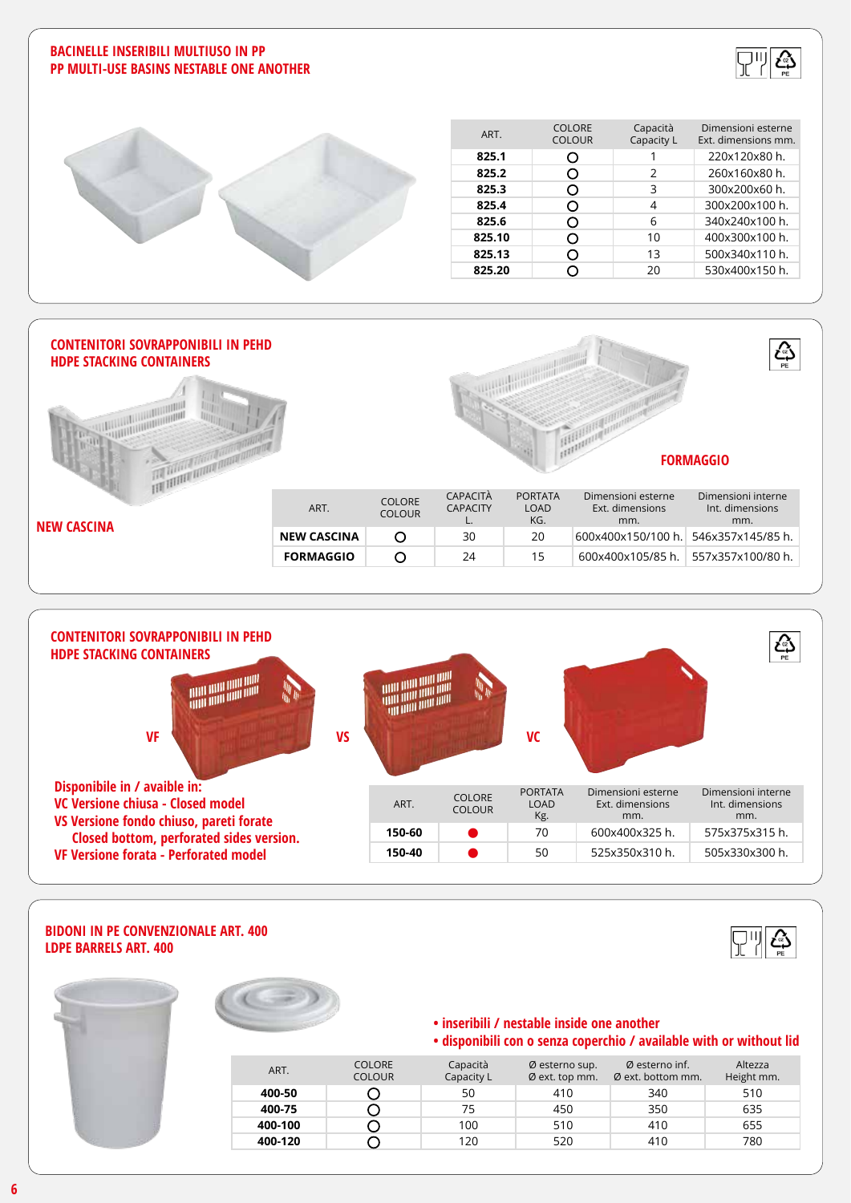#### **BACINELLE INSERIBILI MULTIUSO IN PP PP MULTI-USE BASINS NESTABLE ONE ANOTHER**





| ART.   | <b>COLORE</b><br><b>COLOUR</b> | Capacità<br>Capacity L | Dimensioni esterne<br>Ext. dimensions mm. |
|--------|--------------------------------|------------------------|-------------------------------------------|
| 825.1  | O                              |                        | 220x120x80 h.                             |
| 825.2  | 0                              | C.                     | 260x160x80 h.                             |
| 825.3  | Э                              | ς                      | 300x200x60 h.                             |
| 825.4  | . )                            | 4                      | 300x200x100 h.                            |
| 825.6  | Э                              | 6                      | 340x240x100 h.                            |
| 825.10 | Э                              | 10                     | 400x300x100 h.                            |
| 825.13 | . )                            | 13                     | 500x340x110 h.                            |
| 825.20 |                                | 20                     | 530x400x150 h.                            |
|        |                                |                        |                                           |





#### **BIDONI IN PE CONVENZIONALE ART. 400 LDPE BARRELS ART. 400**





### **• inseribili / nestable inside one another**

#### **• disponibili con o senza coperchio / available with or without lid**

ස

| ART.    | <b>COLORE</b><br><b>COLOUR</b> | Capacità<br>Capacity L | Ø esterno sup.<br>$\emptyset$ ext. top mm. | $\emptyset$ esterno inf.<br>$\emptyset$ ext. bottom mm. | Altezza<br>Height mm. |
|---------|--------------------------------|------------------------|--------------------------------------------|---------------------------------------------------------|-----------------------|
| 400-50  |                                | 50                     | 410                                        | 340                                                     | 510                   |
| 400-75  |                                | 75                     | 450                                        | 350                                                     | 635                   |
| 400-100 |                                | 100                    | 510                                        | 410                                                     | 655                   |
| 400-120 |                                | 120                    | 520                                        | 410                                                     | 780                   |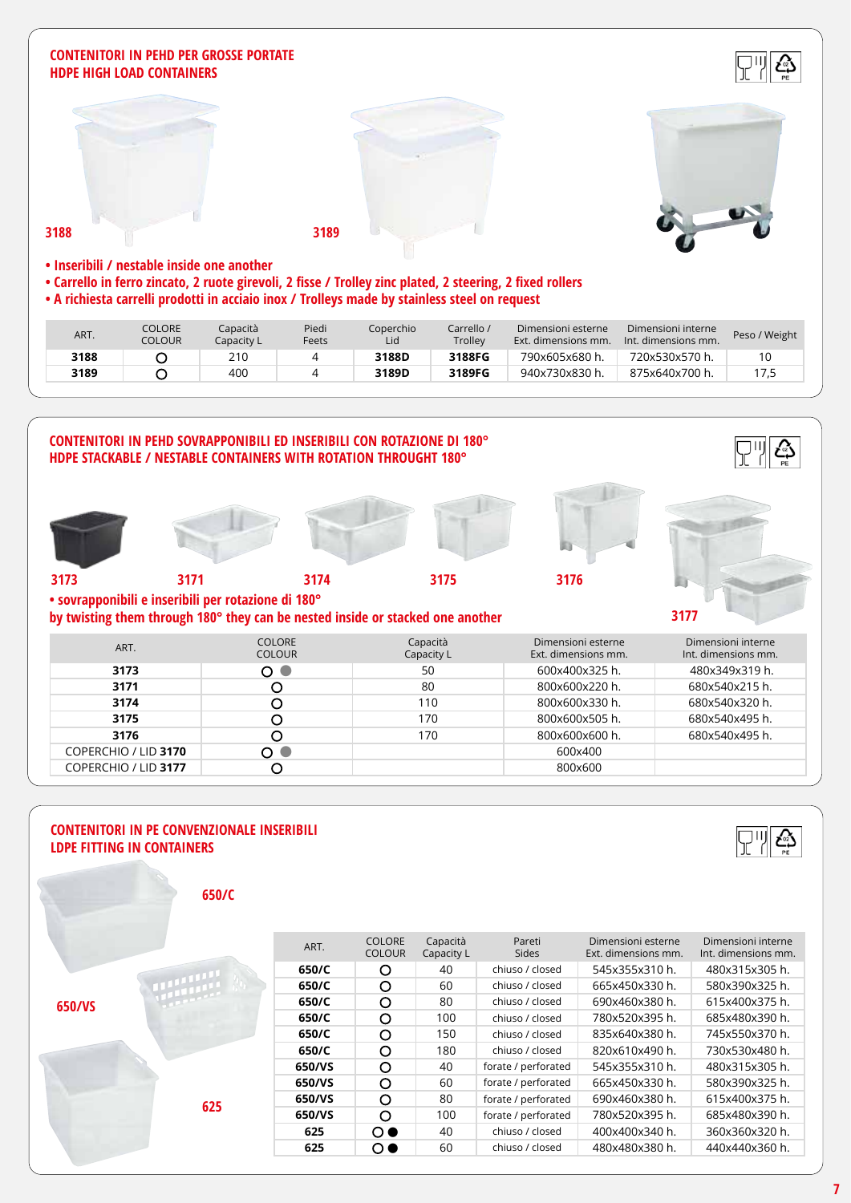#### **CONTENITORI IN PEHD PER GROSSE PORTATE HDPE HIGH LOAD CONTAINERS**





- **Carrello in ferro zincato, 2 ruote girevoli, 2 fisse / Trolley zinc plated, 2 steering, 2 fixed rollers**
- **A richiesta carrelli prodotti in acciaio inox / Trolleys made by stainless steel on request**

| ART. | COLORE<br>COLOUR | Capacità<br>Capacity L | Piedi<br>Feets | Coperchio<br>Lid | Carrello /<br>Trolley | Dimensioni esterne<br>Ext. dimensions mm. | Dimensioni interne<br>Int. dimensions mm. | Peso / Weight |
|------|------------------|------------------------|----------------|------------------|-----------------------|-------------------------------------------|-------------------------------------------|---------------|
| 3188 |                  | 210                    |                | 3188D            | 3188FG                | 790x605x680 h.                            | 720x530x570 h.                            |               |
| 3189 |                  | 400                    |                | 3189D            | 3189FG                | 940x730x830 h.                            | 875x640x700 h.                            | 17,5          |



#### **CONTENITORI IN PE CONVENZIONALE INSERIBILI LDPE FITTING IN CONTAINERS**



| 650/C |  |
|-------|--|

|        | ART.   | <b>COLORE</b><br><b>COLOUR</b> | Capacità<br>Capacity L | Pareti<br><b>Sides</b> | Dimensioni esterne<br>Ext. dimensions mm. | Dimensioni interne<br>Int. dimensions mm. |
|--------|--------|--------------------------------|------------------------|------------------------|-------------------------------------------|-------------------------------------------|
|        | 650/C  | O                              | 40                     | chiuso / closed        | 545x355x310 h.                            | 480x315x305 h.                            |
| 650/VS | 650/C  | O                              | 60                     | chiuso / closed        | 665x450x330 h.                            | 580x390x325 h.                            |
|        | 650/C  | O                              | 80                     | chiuso / closed        | 690x460x380 h.                            | 615x400x375 h.                            |
|        | 650/C  | $\circ$                        | 100                    | chiuso / closed        | 780x520x395 h.                            | 685x480x390 h.                            |
|        | 650/C  | $\circ$                        | 150                    | chiuso / closed        | 835x640x380 h.                            | 745x550x370 h.                            |
|        | 650/C  | $\circ$                        | 180                    | chiuso / closed        | 820x610x490 h.                            | 730x530x480 h.                            |
|        | 650/VS | O                              | 40                     | forate / perforated    | 545x355x310 h.                            | 480x315x305 h.                            |
|        | 650/VS | O                              | 60                     | forate / perforated    | 665x450x330 h.                            | 580x390x325 h.                            |
| 625    | 650/VS | $\circ$                        | 80                     | forate / perforated    | 690x460x380 h.                            | 615x400x375 h.                            |
|        | 650/VS | $\Omega$                       | 100                    | forate / perforated    | 780x520x395 h.                            | 685x480x390 h.                            |
|        | 625    | $\Omega$ $\bullet$             | 40                     | chiuso / closed        | 400x400x340 h.                            | 360x360x320 h.                            |
|        | 625    | $\circ$                        | 60                     | chiuso / closed        | 480x480x380 h.                            | 440x440x360 h.                            |
|        |        |                                |                        |                        |                                           |                                           |